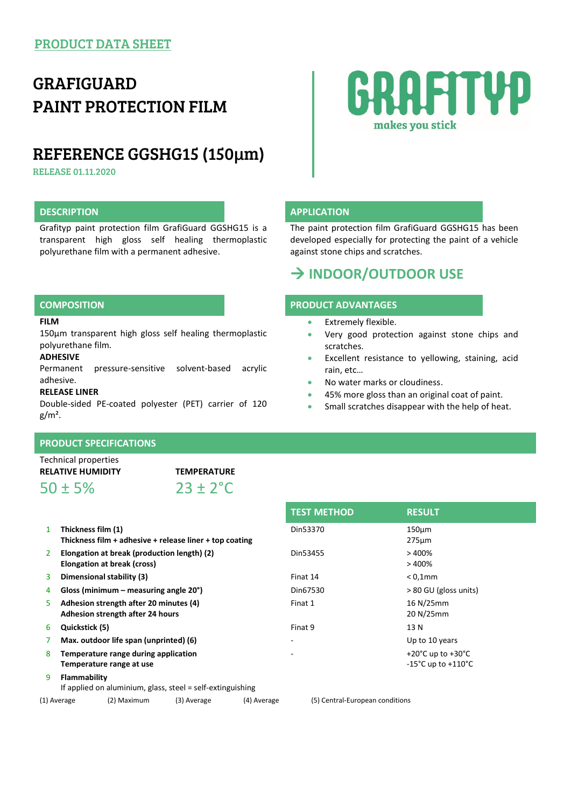# GRAFIGUARD PAINT PROTECTION FILM

# REFERENCE GGSHG15 (150µm)

RELEASE 01.11.2020

# **DESCRIPTION APPLICATION**

Grafityp paint protection film GrafiGuard GGSHG15 is a transparent high gloss self healing thermoplastic polyurethane film with a permanent adhesive.

#### **FILM**

150µm transparent high gloss self healing thermoplastic polyurethane film.

### **ADHESIVE**

Permanent pressure-sensitive solvent-based acrylic adhesive.

### **RELEASE LINER**

Double-sided PE-coated polyester (PET) carrier of 120  $g/m<sup>2</sup>$ .

# **PRODUCT SPECIFICATIONS**

Technical properties

 $50 \pm 5\%$  23 + 2<sup>°</sup>C

**RELATIVE HUMIDITY TEMPERATURE**

- 1 **Thickness film (1) Thickness film + adhesive + release liner + top coating** 2 **Elongation at break (production length) (2) Elongation at break (cross)**
- 
- 
- 5 **Adhesion strength after 20 minutes (4) Adhesion strength after 24 hours**
- 
- 
- 8 **Temperature range during application Temperature range at use**
- 9 **Flammability**
- If applied on aluminium, glass, steel = self-extinguishing

(1) Average (2) Maximum (3) Average (4) Average (5) Central-European conditions

Din53455 > 400%  $> 400%$ 3 **Dimensional stability (3)** Finat 14 < 0,1mm 4 **Gloss (minimum – measuring angle 20°)** Din67530 > 80 GU (gloss units) Finat 1 16 N/25mm 20 N/25mm 6 **Quickstick (5)** Finat 9 13 N 7 **Max. outdoor life span (unprinted) (6)** - Up to 10 years  $+20^{\circ}$ C up to  $+30^{\circ}$ C -15°C up to +110°C

275µm

# **RAFITYP** makes you stick

The paint protection film GrafiGuard GGSHG15 has been developed especially for protecting the paint of a vehicle against stone chips and scratches.

# **INDOOR/OUTDOOR USE**

# **COMPOSITION PRODUCT ADVANTAGES**

- Extremely flexible.
- Very good protection against stone chips and scratches.
- Excellent resistance to yellowing, staining, acid rain, etc…
- No water marks or cloudiness.

**TEST METHOD RESULT**

Din53370 150µm

- 45% more gloss than an original coat of paint.
- Small scratches disappear with the help of heat.